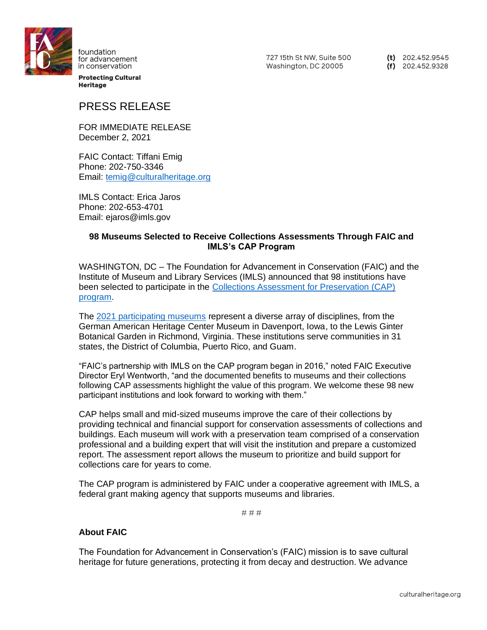

foundation for advancement in conservation

**Protecting Cultural Heritage** 

727 15th St NW. Suite 500 Washington, DC 20005

(t)  $202.452.9545$  $(f)$  202.452.9328

## PRESS RELEASE

FOR IMMEDIATE RELEASE December 2, 2021

FAIC Contact: Tiffani Emig Phone: 202-750-3346 Email: [temig@culturalheritage.org](mailto:temig@culturalheritage.org)

IMLS Contact: Erica Jaros Phone: 202-653-4701 Email: ejaros@imls.gov

## **98 Museums Selected to Receive Collections Assessments Through FAIC and IMLS's CAP Program**

WASHINGTON, DC – The Foundation for Advancement in Conservation (FAIC) and the Institute of Museum and Library Services (IMLS) announced that 98 institutions have been selected to participate in the [Collections Assessment for Preservation \(CAP\)](https://www.culturalheritage.org/resources/collections-care/cap)  [program.](https://www.culturalheritage.org/resources/collections-care/cap)

The [2021 participating museums](https://www.culturalheritage.org/resources/collections-care/cap/participating-museums) represent a diverse array of disciplines, from the German American Heritage Center Museum in Davenport, Iowa, to the Lewis Ginter Botanical Garden in Richmond, Virginia. These institutions serve communities in 31 states, the District of Columbia, Puerto Rico, and Guam.

"FAIC's partnership with IMLS on the CAP program began in 2016," noted FAIC Executive Director Eryl Wentworth, "and the documented benefits to museums and their collections following CAP assessments highlight the value of this program. We welcome these 98 new participant institutions and look forward to working with them."

CAP helps small and mid-sized museums improve the care of their collections by providing technical and financial support for conservation assessments of collections and buildings. Each museum will work with a preservation team comprised of a conservation professional and a building expert that will visit the institution and prepare a customized report. The assessment report allows the museum to prioritize and build support for collections care for years to come.

The CAP program is administered by FAIC under a cooperative agreement with IMLS, a federal grant making agency that supports museums and libraries.

# # #

## **About FAIC**

The Foundation for Advancement in Conservation's (FAIC) mission is to save cultural heritage for future generations, protecting it from decay and destruction. We advance